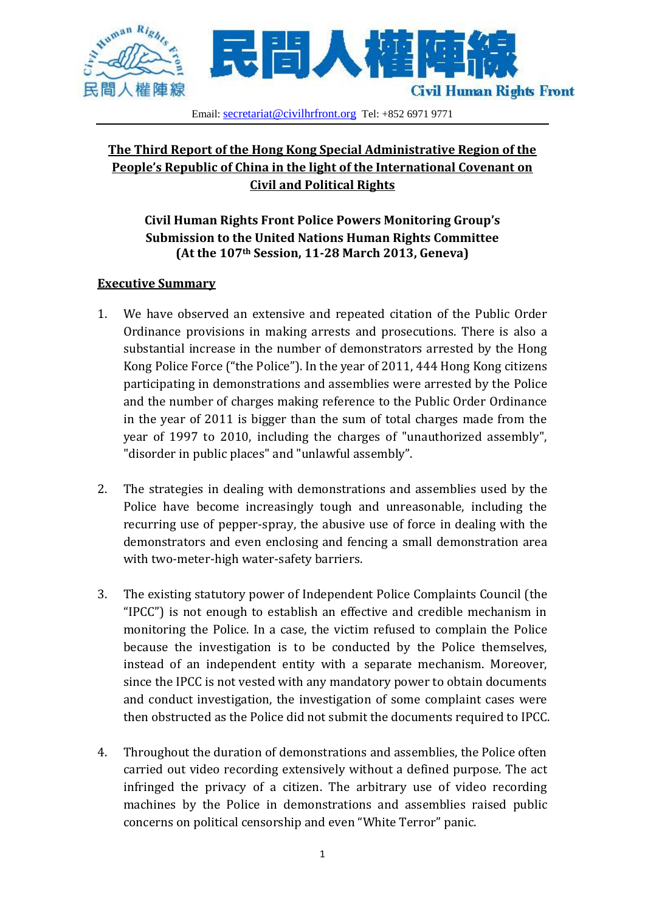

### Email: [secretariat@civilhrfront.org](mailto:secretariat@civilhrfront.org) Tel: +852 6971 9771

# **The Third Report of the Hong Kong Special Administrative Region of the People's Republic of China in the light of the International Covenant on Civil and Political Rights**

# **Civil Human Rights Front Police Powers Monitoring Group's Submission to the United Nations Human Rights Committee (At the 107th Session, 11-28 March 2013, Geneva)**

## **Executive Summary**

- 1. We have observed an extensive and repeated citation of the Public Order Ordinance provisions in making arrests and prosecutions. There is also a substantial increase in the number of demonstrators arrested by the Hong Kong Police Force ("the Police"). In the year of 2011, 444 Hong Kong citizens participating in demonstrations and assemblies were arrested by the Police and the number of charges making reference to the Public Order Ordinance in the year of 2011 is bigger than the sum of total charges made from the year of 1997 to 2010, including the charges of "unauthorized assembly", "disorder in public places" and "unlawful assembly".
- 2. The strategies in dealing with demonstrations and assemblies used by the Police have become increasingly tough and unreasonable, including the recurring use of pepper-spray, the abusive use of force in dealing with the demonstrators and even enclosing and fencing a small demonstration area with two-meter-high water-safety barriers.
- 3. The existing statutory power of Independent Police Complaints Council (the "IPCC") is not enough to establish an effective and credible mechanism in monitoring the Police. In a case, the victim refused to complain the Police because the investigation is to be conducted by the Police themselves, instead of an independent entity with a separate mechanism. Moreover, since the IPCC is not vested with any mandatory power to obtain documents and conduct investigation, the investigation of some complaint cases were then obstructed as the Police did not submit the documents required to IPCC.
- 4. Throughout the duration of demonstrations and assemblies, the Police often carried out video recording extensively without a defined purpose. The act infringed the privacy of a citizen. The arbitrary use of video recording machines by the Police in demonstrations and assemblies raised public concerns on political censorship and even "White Terror" panic.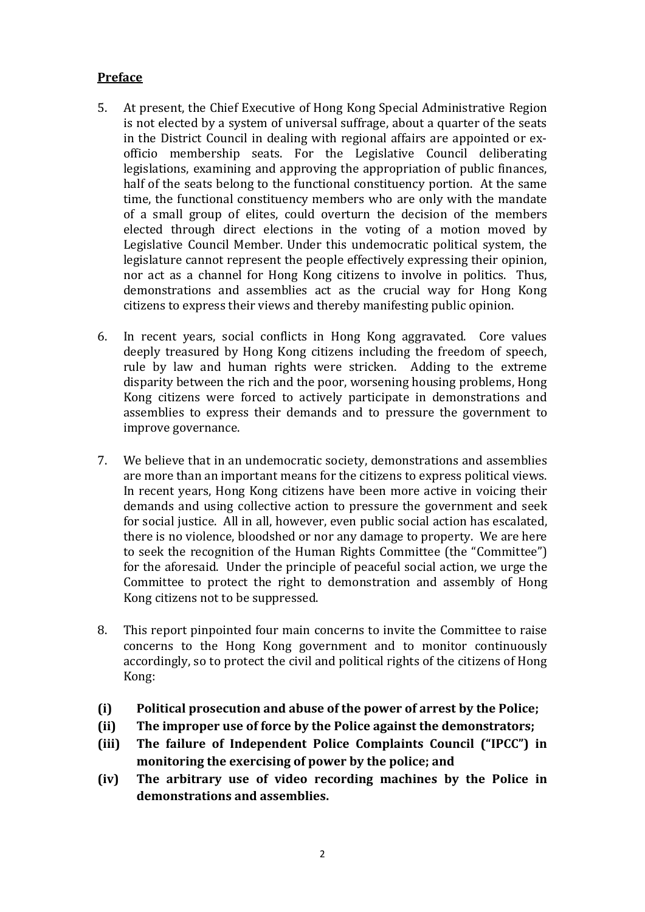## **Preface**

- 5. At present, the Chief Executive of Hong Kong Special Administrative Region is not elected by a system of universal suffrage, about a quarter of the seats in the District Council in dealing with regional affairs are appointed or exofficio membership seats. For the Legislative Council deliberating legislations, examining and approving the appropriation of public finances, half of the seats belong to the functional constituency portion. At the same time, the functional constituency members who are only with the mandate of a small group of elites, could overturn the decision of the members elected through direct elections in the voting of a motion moved by Legislative Council Member. Under this undemocratic political system, the legislature cannot represent the people effectively expressing their opinion, nor act as a channel for Hong Kong citizens to involve in politics. Thus, demonstrations and assemblies act as the crucial way for Hong Kong citizens to express their views and thereby manifesting public opinion.
- 6. In recent years, social conflicts in Hong Kong aggravated. Core values deeply treasured by Hong Kong citizens including the freedom of speech, rule by law and human rights were stricken. Adding to the extreme disparity between the rich and the poor, worsening housing problems, Hong Kong citizens were forced to actively participate in demonstrations and assemblies to express their demands and to pressure the government to improve governance.
- 7. We believe that in an undemocratic society, demonstrations and assemblies are more than an important means for the citizens to express political views. In recent years, Hong Kong citizens have been more active in voicing their demands and using collective action to pressure the government and seek for social justice. All in all, however, even public social action has escalated, there is no violence, bloodshed or nor any damage to property. We are here to seek the recognition of the Human Rights Committee (the "Committee") for the aforesaid. Under the principle of peaceful social action, we urge the Committee to protect the right to demonstration and assembly of Hong Kong citizens not to be suppressed.
- 8. This report pinpointed four main concerns to invite the Committee to raise concerns to the Hong Kong government and to monitor continuously accordingly, so to protect the civil and political rights of the citizens of Hong Kong:
- **(i) Political prosecution and abuse of the power of arrest by the Police;**
- **(ii) The improper use of force by the Police against the demonstrators;**
- **(iii) The failure of Independent Police Complaints Council ("IPCC") in monitoring the exercising of power by the police; and**
- **(iv) The arbitrary use of video recording machines by the Police in demonstrations and assemblies.**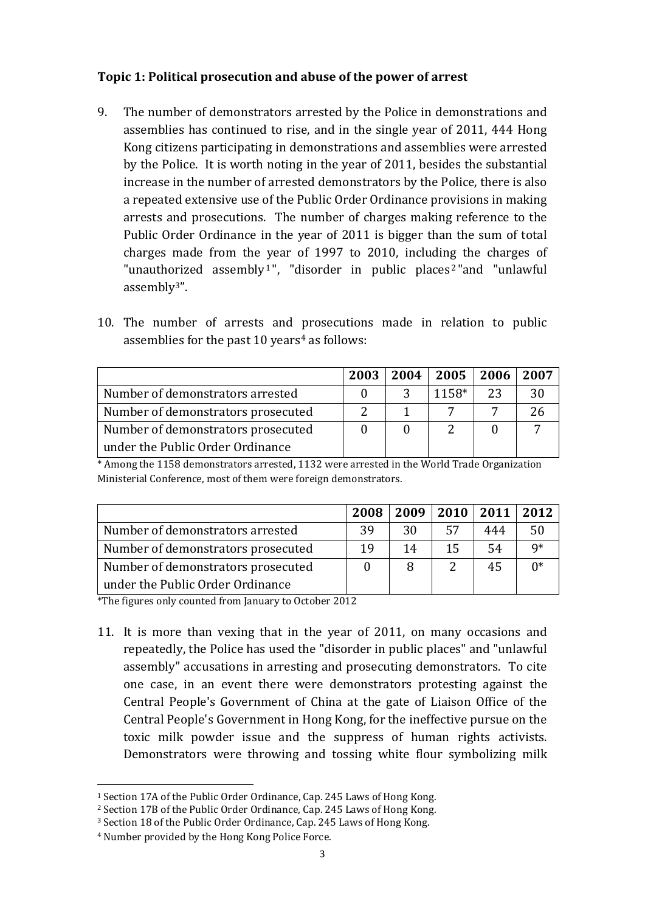## **Topic 1: Political prosecution and abuse of the power of arrest**

- 9. The number of demonstrators arrested by the Police in demonstrations and assemblies has continued to rise, and in the single year of 2011, 444 Hong Kong citizens participating in demonstrations and assemblies were arrested by the Police. It is worth noting in the year of 2011, besides the substantial increase in the number of arrested demonstrators by the Police, there is also a repeated extensive use of the Public Order Ordinance provisions in making arrests and prosecutions. The number of charges making reference to the Public Order Ordinance in the year of 2011 is bigger than the sum of total charges made from the year of 1997 to 2010, including the charges of "unauthorized assembly<sup>1</sup>", "disorder in public places<sup>2</sup>"and "unlawful assembly3".
- 10. The number of arrests and prosecutions made in relation to public assemblies for the past  $10$  years<sup>4</sup> as follows:

|                                    | 2003 | 2004 | 2005  | $\sqrt{2006}$ | 2007 |
|------------------------------------|------|------|-------|---------------|------|
| Number of demonstrators arrested   |      |      | 1158* | 23            | 30   |
| Number of demonstrators prosecuted |      |      |       |               |      |
| Number of demonstrators prosecuted |      |      |       |               |      |
| under the Public Order Ordinance   |      |      |       |               |      |

\* Among the 1158 demonstrators arrested, 1132 were arrested in the World Trade Organization Ministerial Conference, most of them were foreign demonstrators.

|                                    | 2008 |    |               | 2009   2010   2011   2012 |    |
|------------------------------------|------|----|---------------|---------------------------|----|
| Number of demonstrators arrested   | 39   | 30 | 57            | 444                       | 50 |
| Number of demonstrators prosecuted | 19   | 14 | 15            | .54                       | q* |
| Number of demonstrators prosecuted |      |    | $\mathcal{D}$ | 45                        | n∗ |
| under the Public Order Ordinance   |      |    |               |                           |    |

\*The figures only counted from January to October 2012

11. It is more than vexing that in the year of 2011, on many occasions and repeatedly, the Police has used the "disorder in public places" and "unlawful assembly" accusations in arresting and prosecuting demonstrators. To cite one case, in an event there were demonstrators protesting against the Central People's Government of China at the gate of Liaison Office of the Central People's Government in Hong Kong, for the ineffective pursue on the toxic milk powder issue and the suppress of human rights activists. Demonstrators were throwing and tossing white flour symbolizing milk

-

<sup>1</sup> Section 17A of the Public Order Ordinance, Cap. 245 Laws of Hong Kong.

<sup>2</sup> Section 17B of the Public Order Ordinance, Cap. 245 Laws of Hong Kong.

<sup>3</sup> Section 18 of the Public Order Ordinance, Cap. 245 Laws of Hong Kong.

<sup>4</sup> Number provided by the Hong Kong Police Force.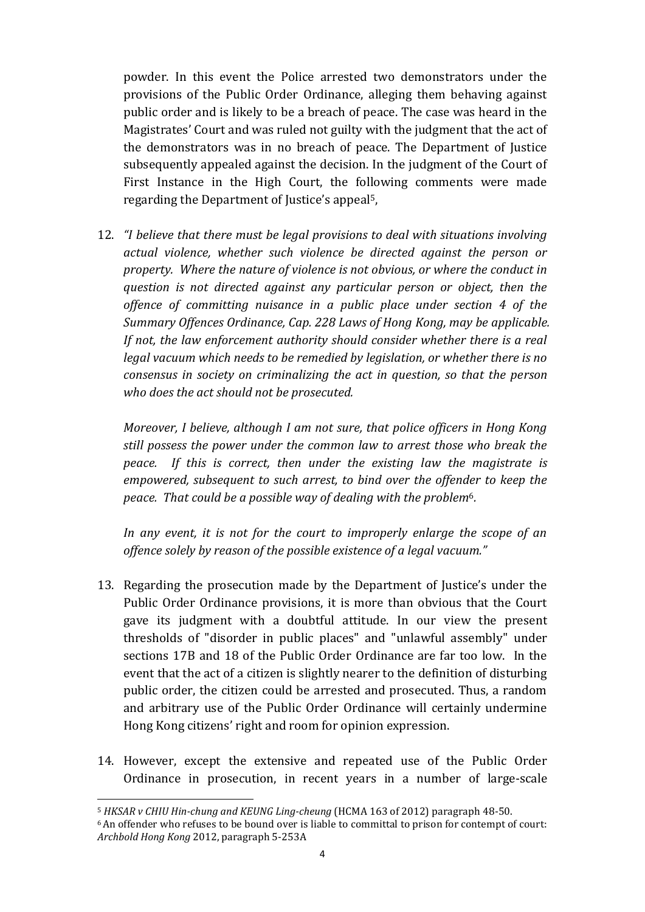powder. In this event the Police arrested two demonstrators under the provisions of the Public Order Ordinance, alleging them behaving against public order and is likely to be a breach of peace. The case was heard in the Magistrates' Court and was ruled not guilty with the judgment that the act of the demonstrators was in no breach of peace. The Department of Justice subsequently appealed against the decision. In the judgment of the Court of First Instance in the High Court, the following comments were made regarding the Department of Justice's appeal5,

12. *"I believe that there must be legal provisions to deal with situations involving actual violence, whether such violence be directed against the person or property. Where the nature of violence is not obvious, or where the conduct in question is not directed against any particular person or object, then the offence of committing nuisance in a public place under section 4 of the Summary Offences Ordinance, Cap. 228 Laws of Hong Kong, may be applicable. If not, the law enforcement authority should consider whether there is a real legal vacuum which needs to be remedied by legislation, or whether there is no consensus in society on criminalizing the act in question, so that the person who does the act should not be prosecuted.*

*Moreover, I believe, although I am not sure, that police officers in Hong Kong still possess the power under the common law to arrest those who break the peace. If this is correct, then under the existing law the magistrate is empowered, subsequent to such arrest, to bind over the offender to keep the peace. That could be a possible way of dealing with the problem*6*.*

*In any event, it is not for the court to improperly enlarge the scope of an offence solely by reason of the possible existence of a legal vacuum."*

- 13. Regarding the prosecution made by the Department of Justice's under the Public Order Ordinance provisions, it is more than obvious that the Court gave its judgment with a doubtful attitude. In our view the present thresholds of "disorder in public places" and "unlawful assembly" under sections 17B and 18 of the Public Order Ordinance are far too low. In the event that the act of a citizen is slightly nearer to the definition of disturbing public order, the citizen could be arrested and prosecuted. Thus, a random and arbitrary use of the Public Order Ordinance will certainly undermine Hong Kong citizens' right and room for opinion expression.
- 14. However, except the extensive and repeated use of the Public Order Ordinance in prosecution, in recent years in a number of large-scale

-

<sup>5</sup> *HKSAR v CHIU Hin-chung and KEUNG Ling-cheung* (HCMA 163 of 2012) paragraph 48-50.

<sup>6</sup>An offender who refuses to be bound over is liable to committal to prison for contempt of court: *Archbold Hong Kong* 2012, paragraph 5-253A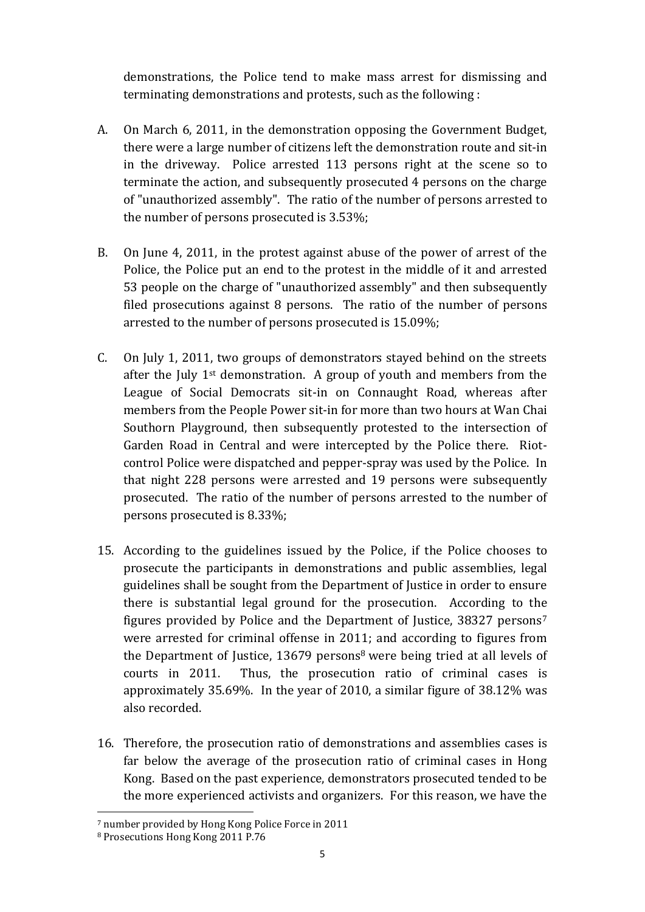demonstrations, the Police tend to make mass arrest for dismissing and terminating demonstrations and protests, such as the following :

- A. On March 6, 2011, in the demonstration opposing the Government Budget, there were a large number of citizens left the demonstration route and sit-in in the driveway. Police arrested 113 persons right at the scene so to terminate the action, and subsequently prosecuted 4 persons on the charge of "unauthorized assembly". The ratio of the number of persons arrested to the number of persons prosecuted is 3.53%;
- B. On June 4, 2011, in the protest against abuse of the power of arrest of the Police, the Police put an end to the protest in the middle of it and arrested 53 people on the charge of "unauthorized assembly" and then subsequently filed prosecutions against 8 persons. The ratio of the number of persons arrested to the number of persons prosecuted is 15.09%;
- C. On July 1, 2011, two groups of demonstrators stayed behind on the streets after the July  $1<sup>st</sup>$  demonstration. A group of youth and members from the League of Social Democrats sit-in on Connaught Road, whereas after members from the People Power sit-in for more than two hours at Wan Chai Southorn Playground, then subsequently protested to the intersection of Garden Road in Central and were intercepted by the Police there. Riotcontrol Police were dispatched and pepper-spray was used by the Police. In that night 228 persons were arrested and 19 persons were subsequently prosecuted. The ratio of the number of persons arrested to the number of persons prosecuted is 8.33%;
- 15. According to the guidelines issued by the Police, if the Police chooses to prosecute the participants in demonstrations and public assemblies, legal guidelines shall be sought from the Department of Justice in order to ensure there is substantial legal ground for the prosecution. According to the figures provided by Police and the Department of Justice, 38327 persons<sup>7</sup> were arrested for criminal offense in 2011; and according to figures from the Department of Justice, 13679 persons<sup>8</sup> were being tried at all levels of courts in 2011. Thus, the prosecution ratio of criminal cases is approximately 35.69%. In the year of 2010, a similar figure of 38.12% was also recorded.
- 16. Therefore, the prosecution ratio of demonstrations and assemblies cases is far below the average of the prosecution ratio of criminal cases in Hong Kong. Based on the past experience, demonstrators prosecuted tended to be the more experienced activists and organizers. For this reason, we have the

-

<sup>7</sup> number provided by Hong Kong Police Force in 2011

<sup>8</sup> Prosecutions Hong Kong 2011 P.76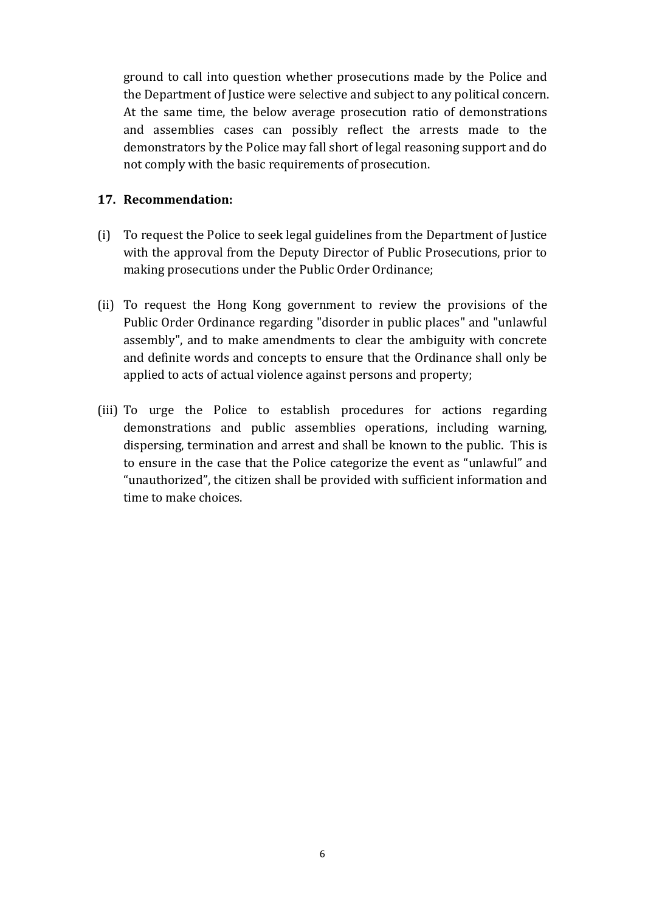ground to call into question whether prosecutions made by the Police and the Department of Justice were selective and subject to any political concern. At the same time, the below average prosecution ratio of demonstrations and assemblies cases can possibly reflect the arrests made to the demonstrators by the Police may fall short of legal reasoning support and do not comply with the basic requirements of prosecution.

### **17. Recommendation:**

- (i) To request the Police to seek legal guidelines from the Department of Justice with the approval from the Deputy Director of Public Prosecutions, prior to making prosecutions under the Public Order Ordinance;
- (ii) To request the Hong Kong government to review the provisions of the Public Order Ordinance regarding "disorder in public places" and "unlawful assembly", and to make amendments to clear the ambiguity with concrete and definite words and concepts to ensure that the Ordinance shall only be applied to acts of actual violence against persons and property;
- (iii) To urge the Police to establish procedures for actions regarding demonstrations and public assemblies operations, including warning, dispersing, termination and arrest and shall be known to the public. This is to ensure in the case that the Police categorize the event as "unlawful" and "unauthorized", the citizen shall be provided with sufficient information and time to make choices.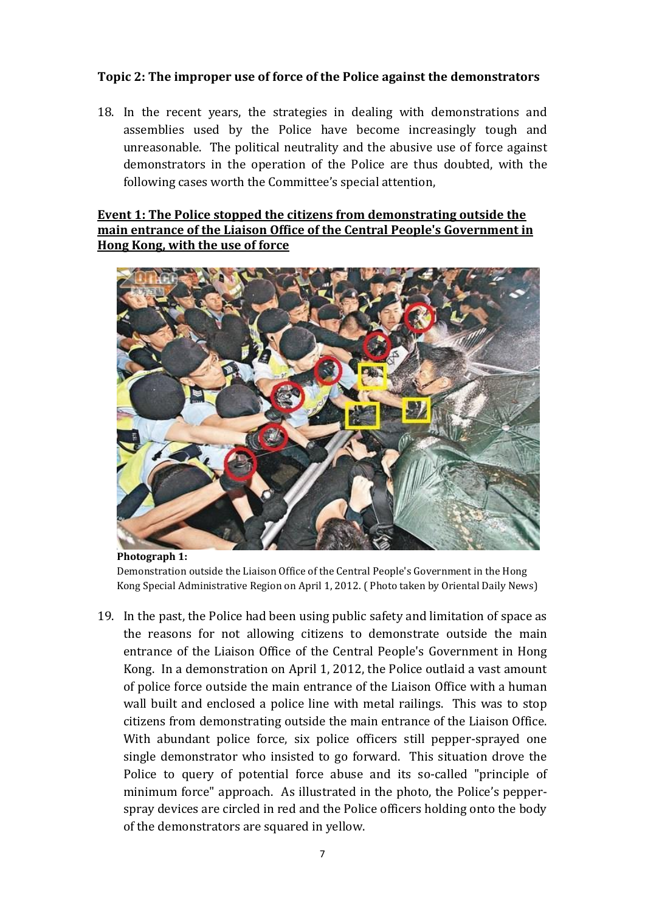### **Topic 2: The improper use of force of the Police against the demonstrators**

18. In the recent years, the strategies in dealing with demonstrations and assemblies used by the Police have become increasingly tough and unreasonable. The political neutrality and the abusive use of force against demonstrators in the operation of the Police are thus doubted, with the following cases worth the Committee's special attention,

## **Event 1: The Police stopped the citizens from demonstrating outside the main entrance of the Liaison Office of the Central People's Government in Hong Kong, with the use of force**



**Photograph 1:** Demonstration outside the Liaison Office of the Central People's Government in the Hong Kong Special Administrative Region on April 1, 2012. ( Photo taken by Oriental Daily News)

19. In the past, the Police had been using public safety and limitation of space as the reasons for not allowing citizens to demonstrate outside the main entrance of the Liaison Office of the Central People's Government in Hong Kong. In a demonstration on April 1, 2012, the Police outlaid a vast amount of police force outside the main entrance of the Liaison Office with a human wall built and enclosed a police line with metal railings. This was to stop citizens from demonstrating outside the main entrance of the Liaison Office. With abundant police force, six police officers still pepper-sprayed one single demonstrator who insisted to go forward. This situation drove the Police to query of potential force abuse and its so-called "principle of minimum force" approach. As illustrated in the photo, the Police's pepperspray devices are circled in red and the Police officers holding onto the body of the demonstrators are squared in yellow.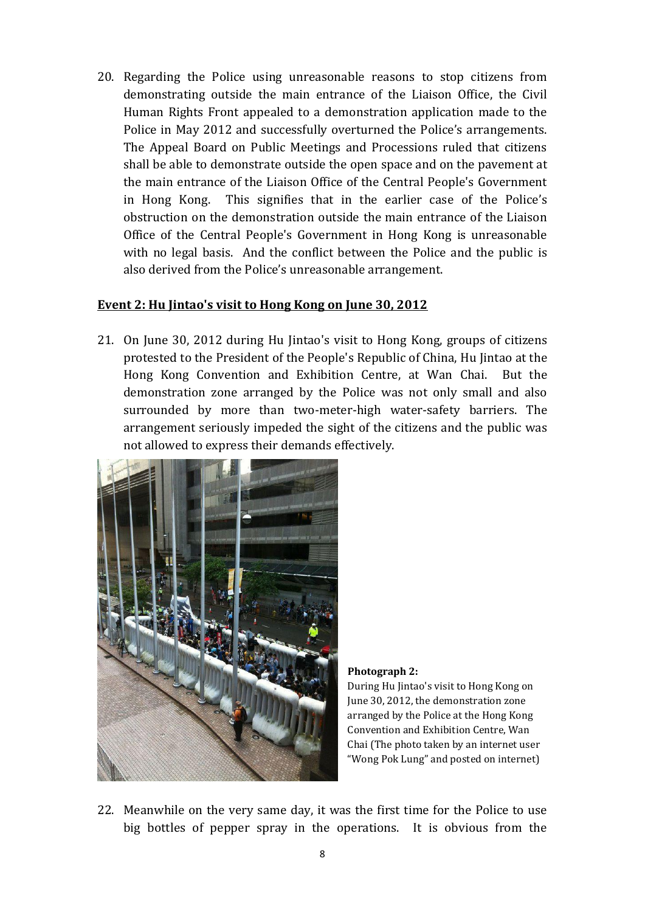20. Regarding the Police using unreasonable reasons to stop citizens from demonstrating outside the main entrance of the Liaison Office, the Civil Human Rights Front appealed to a demonstration application made to the Police in May 2012 and successfully overturned the Police's arrangements. The Appeal Board on Public Meetings and Processions ruled that citizens shall be able to demonstrate outside the open space and on the pavement at the main entrance of the Liaison Office of the Central People's Government in Hong Kong. This signifies that in the earlier case of the Police's obstruction on the demonstration outside the main entrance of the Liaison Office of the Central People's Government in Hong Kong is unreasonable with no legal basis. And the conflict between the Police and the public is also derived from the Police's unreasonable arrangement.

### **Event 2: Hu Jintao's visit to Hong Kong on June 30, 2012**

21. On June 30, 2012 during Hu Jintao's visit to Hong Kong, groups of citizens protested to the President of the People's Republic of China, Hu Jintao at the Hong Kong Convention and Exhibition Centre, at Wan Chai. But the demonstration zone arranged by the Police was not only small and also surrounded by more than two-meter-high water-safety barriers. The arrangement seriously impeded the sight of the citizens and the public was not allowed to express their demands effectively.



**Photograph 2:**

During Hu Jintao's visit to Hong Kong on June 30, 2012, the demonstration zone arranged by the Police at the Hong Kong Convention and Exhibition Centre, Wan Chai (The photo taken by an internet user "Wong Pok Lung" and posted on internet)

22. Meanwhile on the very same day, it was the first time for the Police to use big bottles of pepper spray in the operations. It is obvious from the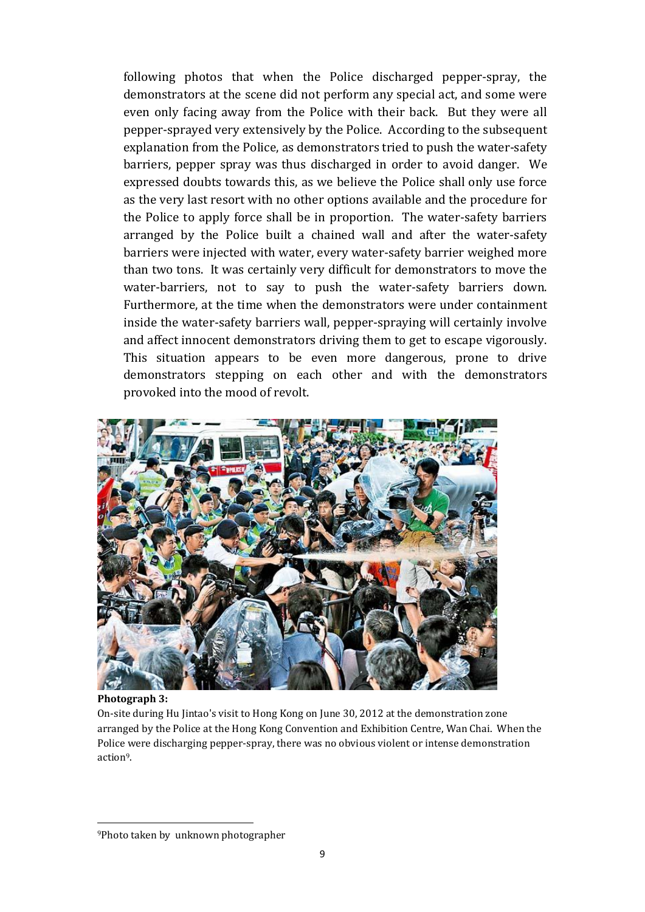following photos that when the Police discharged pepper-spray, the demonstrators at the scene did not perform any special act, and some were even only facing away from the Police with their back. But they were all pepper-sprayed very extensively by the Police. According to the subsequent explanation from the Police, as demonstrators tried to push the water-safety barriers, pepper spray was thus discharged in order to avoid danger. We expressed doubts towards this, as we believe the Police shall only use force as the very last resort with no other options available and the procedure for the Police to apply force shall be in proportion. The water-safety barriers arranged by the Police built a chained wall and after the water-safety barriers were injected with water, every water-safety barrier weighed more than two tons. It was certainly very difficult for demonstrators to move the water-barriers, not to say to push the water-safety barriers down. Furthermore, at the time when the demonstrators were under containment inside the water-safety barriers wall, pepper-spraying will certainly involve and affect innocent demonstrators driving them to get to escape vigorously. This situation appears to be even more dangerous, prone to drive demonstrators stepping on each other and with the demonstrators provoked into the mood of revolt.



### **Photograph 3:**

-

On-site during Hu Jintao's visit to Hong Kong on June 30, 2012 at the demonstration zone arranged by the Police at the Hong Kong Convention and Exhibition Centre, Wan Chai. When the Police were discharging pepper-spray, there was no obvious violent or intense demonstration action9.

<sup>9</sup>Photo taken by unknown photographer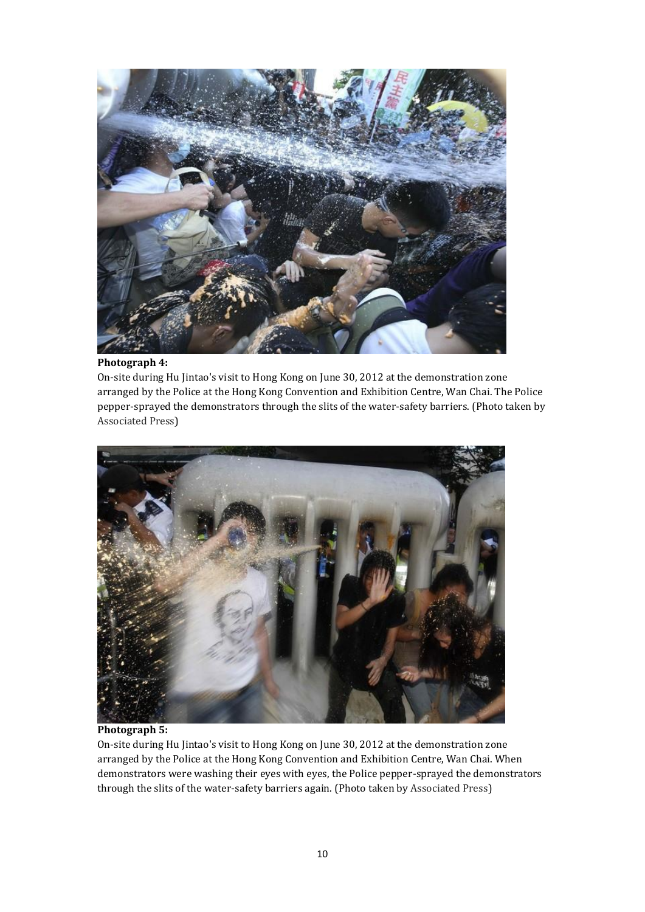

### **Photograph 4:**

On-site during Hu Jintao's visit to Hong Kong on June 30, 2012 at the demonstration zone arranged by the Police at the Hong Kong Convention and Exhibition Centre, Wan Chai. The Police pepper-sprayed the demonstrators through the slits of the water-safety barriers. (Photo taken by Associated Press)



#### **Photograph 5:**

On-site during Hu Jintao's visit to Hong Kong on June 30, 2012 at the demonstration zone arranged by the Police at the Hong Kong Convention and Exhibition Centre, Wan Chai. When demonstrators were washing their eyes with eyes, the Police pepper-sprayed the demonstrators through the slits of the water-safety barriers again. (Photo taken by Associated Press)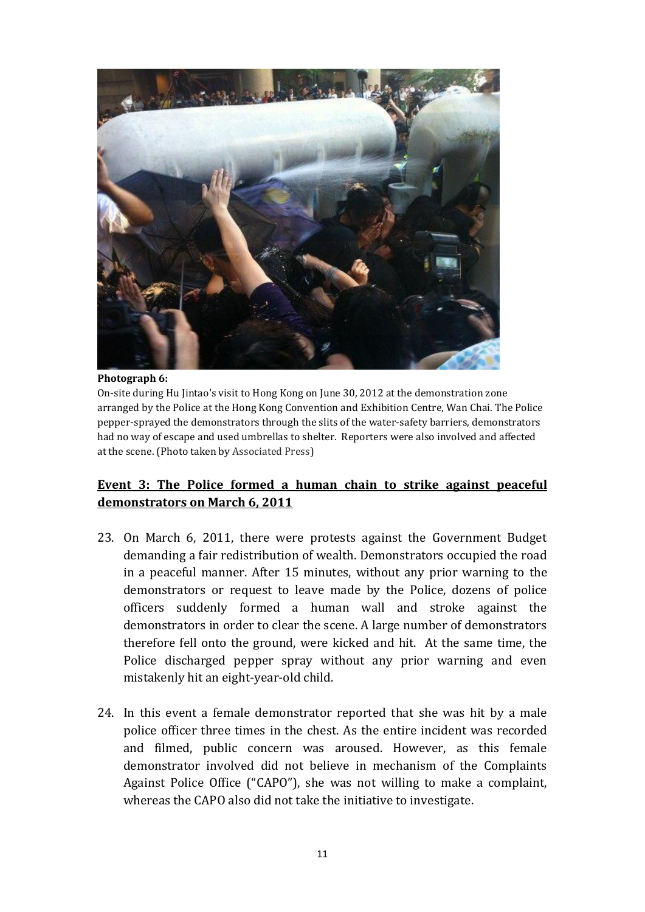

#### **Photograph 6:**

On-site during Hu Jintao's visit to Hong Kong on June 30, 2012 at the demonstration zone arranged by the Police at the Hong Kong Convention and Exhibition Centre, Wan Chai. The Police pepper-sprayed the demonstrators through the slits of the water-safety barriers, demonstrators had no way of escape and used umbrellas to shelter. Reporters were also involved and affected at the scene. (Photo taken by Associated Press)

### **Event 3: The Police formed a human chain to strike against peaceful demonstrators on March 6, 2011**

- 23. On March 6, 2011, there were protests against the Government Budget demanding a fair redistribution of wealth. Demonstrators occupied the road in a peaceful manner. After 15 minutes, without any prior warning to the demonstrators or request to leave made by the Police, dozens of police officers suddenly formed a human wall and stroke against the demonstrators in order to clear the scene. A large number of demonstrators therefore fell onto the ground, were kicked and hit. At the same time, the Police discharged pepper spray without any prior warning and even mistakenly hit an eight-year-old child.
- 24. In this event a female demonstrator reported that she was hit by a male police officer three times in the chest. As the entire incident was recorded and filmed, public concern was aroused. However, as this female demonstrator involved did not believe in mechanism of the Complaints Against Police Office ("CAPO"), she was not willing to make a complaint, whereas the CAPO also did not take the initiative to investigate.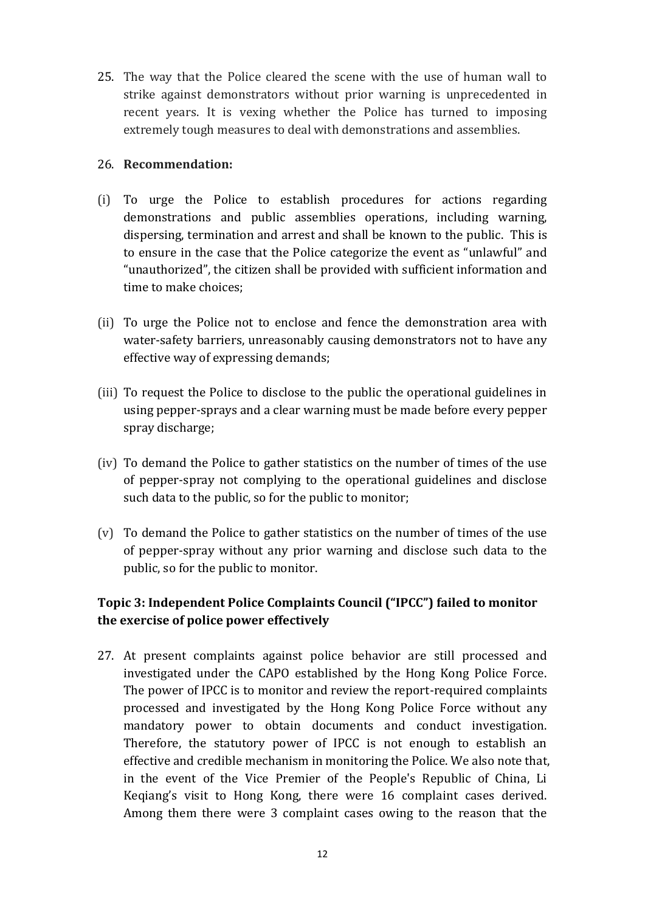25. The way that the Police cleared the scene with the use of human wall to strike against demonstrators without prior warning is unprecedented in recent years. It is vexing whether the Police has turned to imposing extremely tough measures to deal with demonstrations and assemblies.

### 26. **Recommendation:**

- (i) To urge the Police to establish procedures for actions regarding demonstrations and public assemblies operations, including warning, dispersing, termination and arrest and shall be known to the public. This is to ensure in the case that the Police categorize the event as "unlawful" and "unauthorized", the citizen shall be provided with sufficient information and time to make choices;
- (ii) To urge the Police not to enclose and fence the demonstration area with water-safety barriers, unreasonably causing demonstrators not to have any effective way of expressing demands;
- (iii) To request the Police to disclose to the public the operational guidelines in using pepper-sprays and a clear warning must be made before every pepper spray discharge;
- (iv) To demand the Police to gather statistics on the number of times of the use of pepper-spray not complying to the operational guidelines and disclose such data to the public, so for the public to monitor;
- (v) To demand the Police to gather statistics on the number of times of the use of pepper-spray without any prior warning and disclose such data to the public, so for the public to monitor.

## **Topic 3: Independent Police Complaints Council ("IPCC") failed to monitor the exercise of police power effectively**

27. At present complaints against police behavior are still processed and investigated under the CAPO established by the Hong Kong Police Force. The power of IPCC is to monitor and review the report-required complaints processed and investigated by the Hong Kong Police Force without any mandatory power to obtain documents and conduct investigation. Therefore, the statutory power of IPCC is not enough to establish an effective and credible mechanism in monitoring the Police. We also note that, in the event of the Vice Premier of the People's Republic of China, Li Keqiang's visit to Hong Kong, there were 16 complaint cases derived. Among them there were 3 complaint cases owing to the reason that the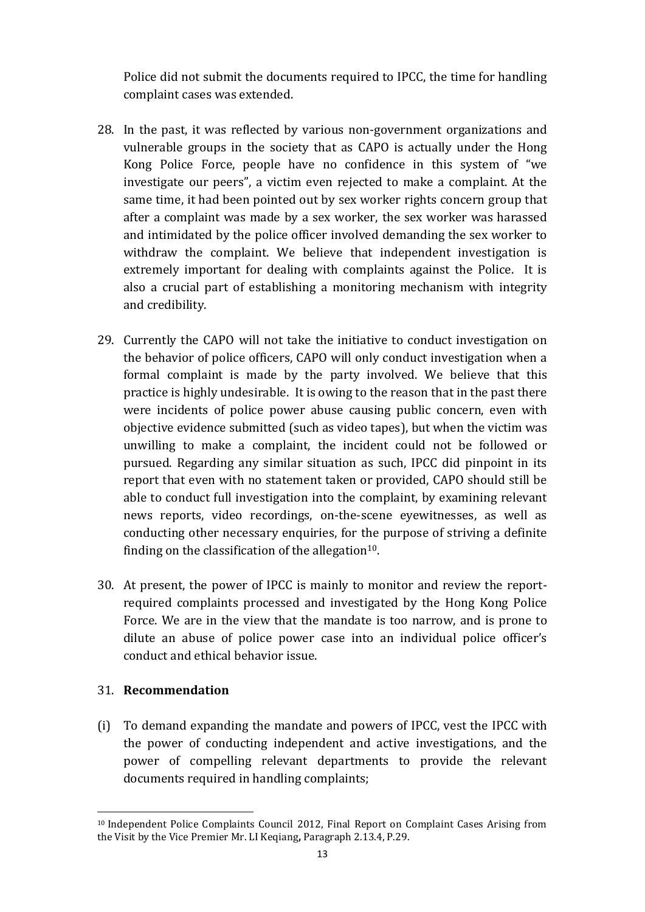Police did not submit the documents required to IPCC, the time for handling complaint cases was extended.

- 28. In the past, it was reflected by various non-government organizations and vulnerable groups in the society that as CAPO is actually under the Hong Kong Police Force, people have no confidence in this system of "we investigate our peers", a victim even rejected to make a complaint. At the same time, it had been pointed out by sex worker rights concern group that after a complaint was made by a sex worker, the sex worker was harassed and intimidated by the police officer involved demanding the sex worker to withdraw the complaint. We believe that independent investigation is extremely important for dealing with complaints against the Police. It is also a crucial part of establishing a monitoring mechanism with integrity and credibility.
- 29. Currently the CAPO will not take the initiative to conduct investigation on the behavior of police officers, CAPO will only conduct investigation when a formal complaint is made by the party involved. We believe that this practice is highly undesirable. It is owing to the reason that in the past there were incidents of police power abuse causing public concern, even with objective evidence submitted (such as video tapes), but when the victim was unwilling to make a complaint, the incident could not be followed or pursued. Regarding any similar situation as such, IPCC did pinpoint in its report that even with no statement taken or provided, CAPO should still be able to conduct full investigation into the complaint, by examining relevant news reports, video recordings, on-the-scene eyewitnesses, as well as conducting other necessary enquiries, for the purpose of striving a definite finding on the classification of the allegation $10$ .
- 30. At present, the power of IPCC is mainly to monitor and review the reportrequired complaints processed and investigated by the Hong Kong Police Force. We are in the view that the mandate is too narrow, and is prone to dilute an abuse of police power case into an individual police officer's conduct and ethical behavior issue.

## 31. **Recommendation**

-

(i) To demand expanding the mandate and powers of IPCC, vest the IPCC with the power of conducting independent and active investigations, and the power of compelling relevant departments to provide the relevant documents required in handling complaints;

<sup>10</sup> Independent Police Complaints Council 2012, Final Report on Complaint Cases Arising from the Visit by the Vice Premier Mr. LI Keqiang**,** Paragraph 2.13.4, P.29.